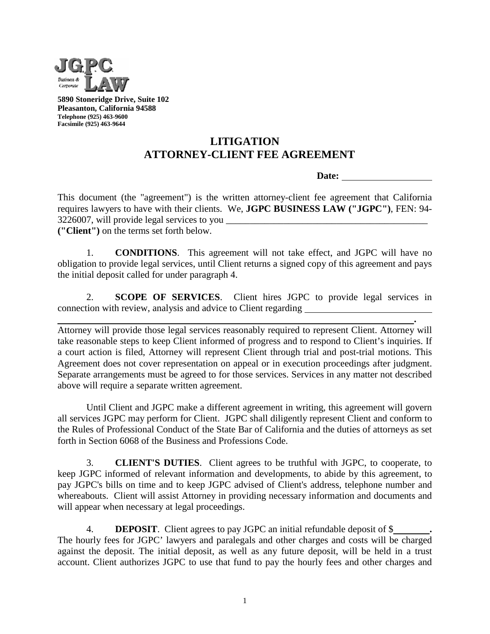

**5890 Stoneridge Drive, Suite 102 Pleasanton, California 94588 Telephone (925) 463-9600 Facsimile (925) 463-9644**

## **LITIGATION ATTORNEY-CLIENT FEE AGREEMENT**

**Date:** 

This document (the "agreement") is the written attorney-client fee agreement that California requires lawyers to have with their clients. We, **JGPC BUSINESS LAW ("JGPC")**, FEN: 94- 3226007, will provide legal services to you \_\_\_\_\_\_\_\_\_\_\_\_\_\_\_\_\_\_\_\_\_\_\_\_\_\_\_\_\_\_\_\_\_\_\_\_\_\_\_\_\_\_ **("Client")** on the terms set forth below.

1. **CONDITIONS**. This agreement will not take effect, and JGPC will have no obligation to provide legal services, until Client returns a signed copy of this agreement and pays the initial deposit called for under paragraph 4.

2. **SCOPE OF SERVICES**. Client hires JGPC to provide legal services in connection with review, analysis and advice to Client regarding

**.**  Attorney will provide those legal services reasonably required to represent Client. Attorney will take reasonable steps to keep Client informed of progress and to respond to Client's inquiries. If a court action is filed, Attorney will represent Client through trial and post-trial motions. This Agreement does not cover representation on appeal or in execution proceedings after judgment. Separate arrangements must be agreed to for those services. Services in any matter not described above will require a separate written agreement.

Until Client and JGPC make a different agreement in writing, this agreement will govern all services JGPC may perform for Client. JGPC shall diligently represent Client and conform to the Rules of Professional Conduct of the State Bar of California and the duties of attorneys as set forth in Section 6068 of the Business and Professions Code.

3. **CLIENT'S DUTIES**. Client agrees to be truthful with JGPC, to cooperate, to keep JGPC informed of relevant information and developments, to abide by this agreement, to pay JGPC's bills on time and to keep JGPC advised of Client's address, telephone number and whereabouts. Client will assist Attorney in providing necessary information and documents and will appear when necessary at legal proceedings.

4. **DEPOSIT**. Client agrees to pay JGPC an initial refundable deposit of \$ **.** The hourly fees for JGPC' lawyers and paralegals and other charges and costs will be charged against the deposit. The initial deposit, as well as any future deposit, will be held in a trust account. Client authorizes JGPC to use that fund to pay the hourly fees and other charges and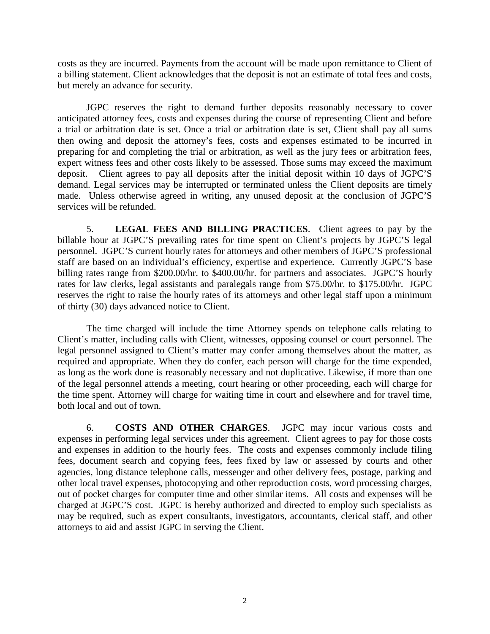costs as they are incurred. Payments from the account will be made upon remittance to Client of a billing statement. Client acknowledges that the deposit is not an estimate of total fees and costs, but merely an advance for security.

JGPC reserves the right to demand further deposits reasonably necessary to cover anticipated attorney fees, costs and expenses during the course of representing Client and before a trial or arbitration date is set. Once a trial or arbitration date is set, Client shall pay all sums then owing and deposit the attorney's fees, costs and expenses estimated to be incurred in preparing for and completing the trial or arbitration, as well as the jury fees or arbitration fees, expert witness fees and other costs likely to be assessed. Those sums may exceed the maximum deposit. Client agrees to pay all deposits after the initial deposit within 10 days of JGPC'S demand. Legal services may be interrupted or terminated unless the Client deposits are timely made. Unless otherwise agreed in writing, any unused deposit at the conclusion of JGPC'S services will be refunded.

5. **LEGAL FEES AND BILLING PRACTICES**. Client agrees to pay by the billable hour at JGPC'S prevailing rates for time spent on Client's projects by JGPC'S legal personnel. JGPC'S current hourly rates for attorneys and other members of JGPC'S professional staff are based on an individual's efficiency, expertise and experience. Currently JGPC'S base billing rates range from \$200.00/hr. to \$400.00/hr. for partners and associates. JGPC'S hourly rates for law clerks, legal assistants and paralegals range from \$75.00/hr. to \$175.00/hr. JGPC reserves the right to raise the hourly rates of its attorneys and other legal staff upon a minimum of thirty (30) days advanced notice to Client.

The time charged will include the time Attorney spends on telephone calls relating to Client's matter, including calls with Client, witnesses, opposing counsel or court personnel. The legal personnel assigned to Client's matter may confer among themselves about the matter, as required and appropriate. When they do confer, each person will charge for the time expended, as long as the work done is reasonably necessary and not duplicative. Likewise, if more than one of the legal personnel attends a meeting, court hearing or other proceeding, each will charge for the time spent. Attorney will charge for waiting time in court and elsewhere and for travel time, both local and out of town.

6. **COSTS AND OTHER CHARGES**. JGPC may incur various costs and expenses in performing legal services under this agreement. Client agrees to pay for those costs and expenses in addition to the hourly fees. The costs and expenses commonly include filing fees, document search and copying fees, fees fixed by law or assessed by courts and other agencies, long distance telephone calls, messenger and other delivery fees, postage, parking and other local travel expenses, photocopying and other reproduction costs, word processing charges, out of pocket charges for computer time and other similar items. All costs and expenses will be charged at JGPC'S cost. JGPC is hereby authorized and directed to employ such specialists as may be required, such as expert consultants, investigators, accountants, clerical staff, and other attorneys to aid and assist JGPC in serving the Client.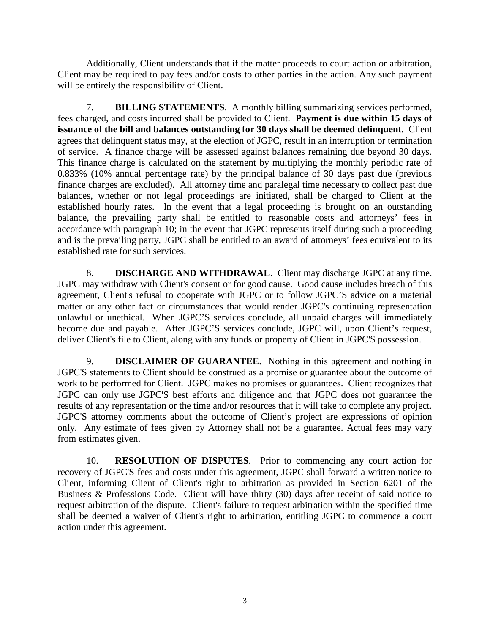Additionally, Client understands that if the matter proceeds to court action or arbitration, Client may be required to pay fees and/or costs to other parties in the action. Any such payment will be entirely the responsibility of Client.

7. **BILLING STATEMENTS**. A monthly billing summarizing services performed, fees charged, and costs incurred shall be provided to Client. **Payment is due within 15 days of issuance of the bill and balances outstanding for 30 days shall be deemed delinquent.** Client agrees that delinquent status may, at the election of JGPC, result in an interruption or termination of service. A finance charge will be assessed against balances remaining due beyond 30 days. This finance charge is calculated on the statement by multiplying the monthly periodic rate of 0.833% (10% annual percentage rate) by the principal balance of 30 days past due (previous finance charges are excluded). All attorney time and paralegal time necessary to collect past due balances, whether or not legal proceedings are initiated, shall be charged to Client at the established hourly rates. In the event that a legal proceeding is brought on an outstanding balance, the prevailing party shall be entitled to reasonable costs and attorneys' fees in accordance with paragraph 10; in the event that JGPC represents itself during such a proceeding and is the prevailing party, JGPC shall be entitled to an award of attorneys' fees equivalent to its established rate for such services.

8. **DISCHARGE AND WITHDRAWAL**. Client may discharge JGPC at any time. JGPC may withdraw with Client's consent or for good cause. Good cause includes breach of this agreement, Client's refusal to cooperate with JGPC or to follow JGPC'S advice on a material matter or any other fact or circumstances that would render JGPC's continuing representation unlawful or unethical. When JGPC'S services conclude, all unpaid charges will immediately become due and payable. After JGPC'S services conclude, JGPC will, upon Client's request, deliver Client's file to Client, along with any funds or property of Client in JGPC'S possession.

9. **DISCLAIMER OF GUARANTEE**. Nothing in this agreement and nothing in JGPC'S statements to Client should be construed as a promise or guarantee about the outcome of work to be performed for Client. JGPC makes no promises or guarantees. Client recognizes that JGPC can only use JGPC'S best efforts and diligence and that JGPC does not guarantee the results of any representation or the time and/or resources that it will take to complete any project. JGPC'S attorney comments about the outcome of Client's project are expressions of opinion only. Any estimate of fees given by Attorney shall not be a guarantee. Actual fees may vary from estimates given.

10. **RESOLUTION OF DISPUTES**. Prior to commencing any court action for recovery of JGPC'S fees and costs under this agreement, JGPC shall forward a written notice to Client, informing Client of Client's right to arbitration as provided in Section 6201 of the Business & Professions Code. Client will have thirty (30) days after receipt of said notice to request arbitration of the dispute. Client's failure to request arbitration within the specified time shall be deemed a waiver of Client's right to arbitration, entitling JGPC to commence a court action under this agreement.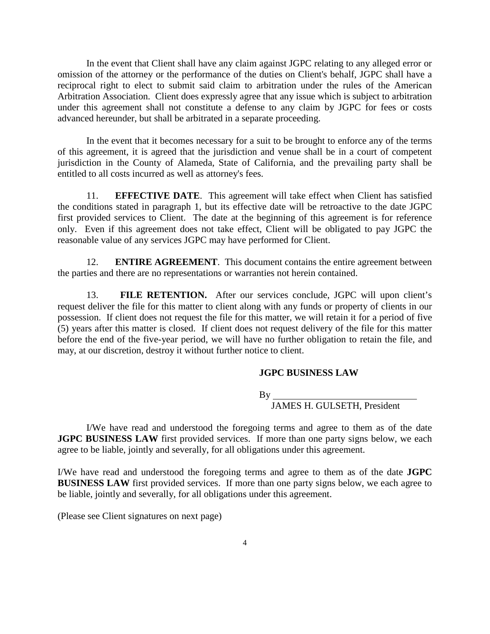In the event that Client shall have any claim against JGPC relating to any alleged error or omission of the attorney or the performance of the duties on Client's behalf, JGPC shall have a reciprocal right to elect to submit said claim to arbitration under the rules of the American Arbitration Association. Client does expressly agree that any issue which is subject to arbitration under this agreement shall not constitute a defense to any claim by JGPC for fees or costs advanced hereunder, but shall be arbitrated in a separate proceeding.

In the event that it becomes necessary for a suit to be brought to enforce any of the terms of this agreement, it is agreed that the jurisdiction and venue shall be in a court of competent jurisdiction in the County of Alameda, State of California, and the prevailing party shall be entitled to all costs incurred as well as attorney's fees.

11. **EFFECTIVE DATE**. This agreement will take effect when Client has satisfied the conditions stated in paragraph 1, but its effective date will be retroactive to the date JGPC first provided services to Client. The date at the beginning of this agreement is for reference only. Even if this agreement does not take effect, Client will be obligated to pay JGPC the reasonable value of any services JGPC may have performed for Client.

12. **ENTIRE AGREEMENT**. This document contains the entire agreement between the parties and there are no representations or warranties not herein contained.

13. **FILE RETENTION.** After our services conclude, JGPC will upon client's request deliver the file for this matter to client along with any funds or property of clients in our possession. If client does not request the file for this matter, we will retain it for a period of five (5) years after this matter is closed. If client does not request delivery of the file for this matter before the end of the five-year period, we will have no further obligation to retain the file, and may, at our discretion, destroy it without further notice to client.

## **JGPC BUSINESS LAW**

By

JAMES H. GULSETH, President

I/We have read and understood the foregoing terms and agree to them as of the date **JGPC BUSINESS LAW** first provided services. If more than one party signs below, we each agree to be liable, jointly and severally, for all obligations under this agreement.

I/We have read and understood the foregoing terms and agree to them as of the date **JGPC BUSINESS LAW** first provided services. If more than one party signs below, we each agree to be liable, jointly and severally, for all obligations under this agreement.

(Please see Client signatures on next page)